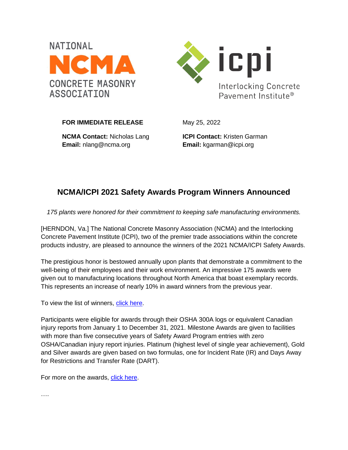



**FOR IMMEDIATE RELEASE** May 25, 2022

**NCMA Contact:** Nicholas Lang **Email:** nlang@ncma.org

**ICPI Contact:** Kristen Garman **Email:** kgarman@icpi.org

## **NCMA/ICPI 2021 Safety Awards Program Winners Announced**

*175 plants were honored for their commitment to keeping safe manufacturing environments.*

[HERNDON, Va.] The National Concrete Masonry Association (NCMA) and the Interlocking Concrete Pavement Institute (ICPI), two of the premier trade associations within the concrete products industry, are pleased to announce the winners of the 2021 NCMA/ICPI Safety Awards.

The prestigious honor is bestowed annually upon plants that demonstrate a commitment to the well-being of their employees and their work environment. An impressive 175 awards were given out to manufacturing locations throughout North America that boast exemplary records. This represents an increase of nearly 10% in award winners from the previous year.

To view the list of winners, [click here.](https://ncma.org/wp-content/uploads/2022/05/2021-NCMA-ICPI-SAFETY-AWARD-WINNER-FLYER.pdf)

Participants were eligible for awards through their OSHA 300A logs or equivalent Canadian injury reports from January 1 to December 31, 2021. Milestone Awards are given to facilities with more than five consecutive years of Safety Award Program entries with zero OSHA/Canadian injury report injuries. Platinum (highest level of single year achievement), Gold and Silver awards are given based on two formulas, one for Incident Rate (IR) and Days Away for Restrictions and Transfer Rate (DART).

For more on the awards, [click here.](https://ncma.org/programs/safety-awards/)

….